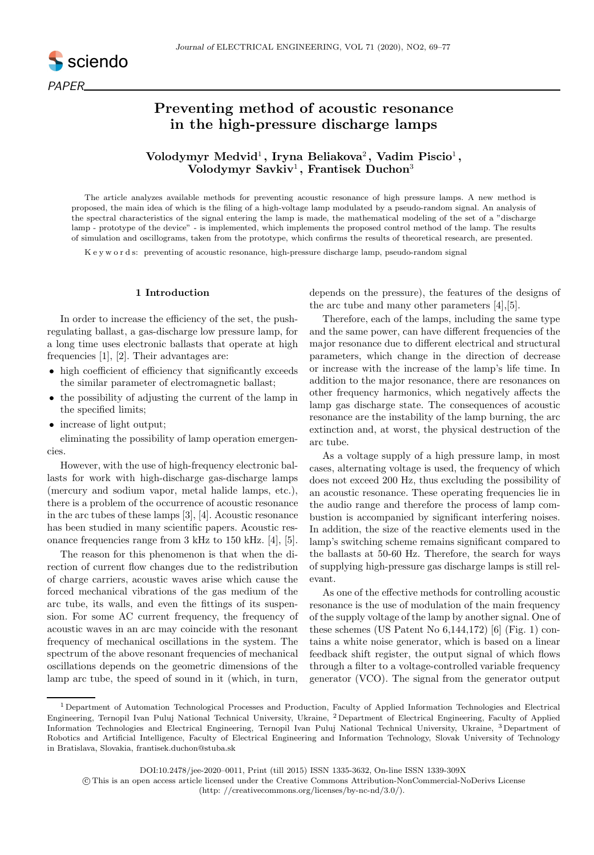

# Preventing method of acoustic resonance in the high-pressure discharge lamps

## Volodymyr Medvid<sup>1</sup>, Iryna Beliakova<sup>2</sup>, Vadim Piscio<sup>1</sup>, Volodymyr Savkiv<sup>1</sup>, Frantisek Duchon<sup>3</sup>

The article analyzes available methods for preventing acoustic resonance of high pressure lamps. A new method is proposed, the main idea of which is the filing of a high-voltage lamp modulated by a pseudo-random signal. An analysis of the spectral characteristics of the signal entering the lamp is made, the mathematical modeling of the set of a "discharge lamp - prototype of the device" - is implemented, which implements the proposed control method of the lamp. The results of simulation and oscillograms, taken from the prototype, which confirms the results of theoretical research, are presented.

K e y w o r d s: preventing of acoustic resonance, high-pressure discharge lamp, pseudo-random signal

## 1 Introduction

In order to increase the efficiency of the set, the pushregulating ballast, a gas-discharge low pressure lamp, for a long time uses electronic ballasts that operate at high frequencies [1], [2]. Their advantages are:

- high coefficient of efficiency that significantly exceeds the similar parameter of electromagnetic ballast;
- the possibility of adjusting the current of the lamp in the specified limits;
- increase of light output;

eliminating the possibility of lamp operation emergencies.

However, with the use of high-frequency electronic ballasts for work with high-discharge gas-discharge lamps (mercury and sodium vapor, metal halide lamps, etc.), there is a problem of the occurrence of acoustic resonance in the arc tubes of these lamps [3], [4]. Acoustic resonance has been studied in many scientific papers. Acoustic resonance frequencies range from 3 kHz to 150 kHz. [4], [5].

The reason for this phenomenon is that when the direction of current flow changes due to the redistribution of charge carriers, acoustic waves arise which cause the forced mechanical vibrations of the gas medium of the arc tube, its walls, and even the fittings of its suspension. For some AC current frequency, the frequency of acoustic waves in an arc may coincide with the resonant frequency of mechanical oscillations in the system. The spectrum of the above resonant frequencies of mechanical oscillations depends on the geometric dimensions of the lamp arc tube, the speed of sound in it (which, in turn, depends on the pressure), the features of the designs of the arc tube and many other parameters [4],[5].

Therefore, each of the lamps, including the same type and the same power, can have different frequencies of the major resonance due to different electrical and structural parameters, which change in the direction of decrease or increase with the increase of the lamp's life time. In addition to the major resonance, there are resonances on other frequency harmonics, which negatively affects the lamp gas discharge state. The consequences of acoustic resonance are the instability of the lamp burning, the arc extinction and, at worst, the physical destruction of the arc tube.

As a voltage supply of a high pressure lamp, in most cases, alternating voltage is used, the frequency of which does not exceed 200 Hz, thus excluding the possibility of an acoustic resonance. These operating frequencies lie in the audio range and therefore the process of lamp combustion is accompanied by significant interfering noises. In addition, the size of the reactive elements used in the lamp's switching scheme remains significant compared to the ballasts at 50-60 Hz. Therefore, the search for ways of supplying high-pressure gas discharge lamps is still relevant.

As one of the effective methods for controlling acoustic resonance is the use of modulation of the main frequency of the supply voltage of the lamp by another signal. One of these schemes (US Patent No  $6,144,172$ ) [6] (Fig. 1) contains a white noise generator, which is based on a linear feedback shift register, the output signal of which flows through a filter to a voltage-controlled variable frequency generator (VCO). The signal from the generator output

DOI:10.2478/jee-2020–0011, Print (till 2015) ISSN 1335-3632, On-line ISSN 1339-309X

 c This is an open access article licensed under the Creative Commons Attribution-NonCommercial-NoDerivs License (http: //creativecommons.org/licenses/by-nc-nd/3.0/).

<sup>1</sup> Department of Automation Technological Processes and Production, Faculty of Applied Information Technologies and Electrical Engineering, Ternopil Ivan Puluj National Technical University, Ukraine, <sup>2</sup> Department of Electrical Engineering, Faculty of Applied Information Technologies and Electrical Engineering, Ternopil Ivan Puluj National Technical University, Ukraine, <sup>3</sup> Department of Robotics and Artificial Intelligence, Faculty of Electrical Engineering and Information Technology, Slovak University of Technology in Bratislava, Slovakia, frantisek.duchon@stuba.sk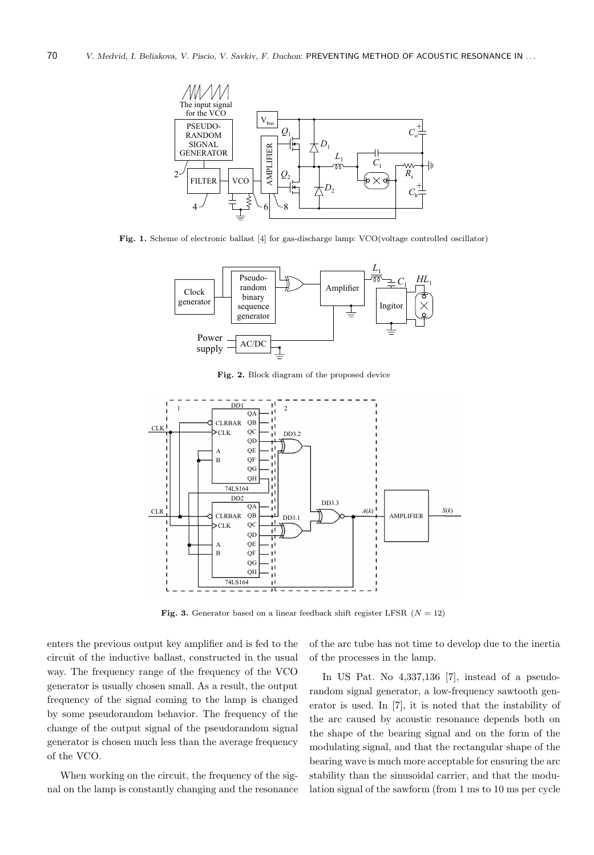

Fig. 1. Scheme of electronic ballast [4] for gas-discharge lamp: VCO(voltage controlled oscillator)



Fig. 2. Block diagram of the proposed device



Fig. 3. Generator based on a linear feedback shift register LFSR  $(N = 12)$ 

enters the previous output key amplifier and is fed to the circuit of the inductive ballast, constructed in the usual way. The frequency range of the frequency of the VCO generator is usually chosen small. As a result, the output frequency of the signal coming to the lamp is changed by some pseudorandom behavior. The frequency of the change of the output signal of the pseudorandom signal generator is chosen much less than the average frequency of the VCO.

When working on the circuit, the frequency of the signal on the lamp is constantly changing and the resonance of the arc tube has not time to develop due to the inertia of the processes in the lamp.

In US Pat. No 4,337,136 [7], instead of a pseudorandom signal generator, a low-frequency sawtooth generator is used. In [7], it is noted that the instability of the arc caused by acoustic resonance depends both on the shape of the bearing signal and on the form of the modulating signal, and that the rectangular shape of the bearing wave is much more acceptable for ensuring the arc stability than the sinusoidal carrier, and that the modulation signal of the sawform (from 1 ms to 10 ms per cycle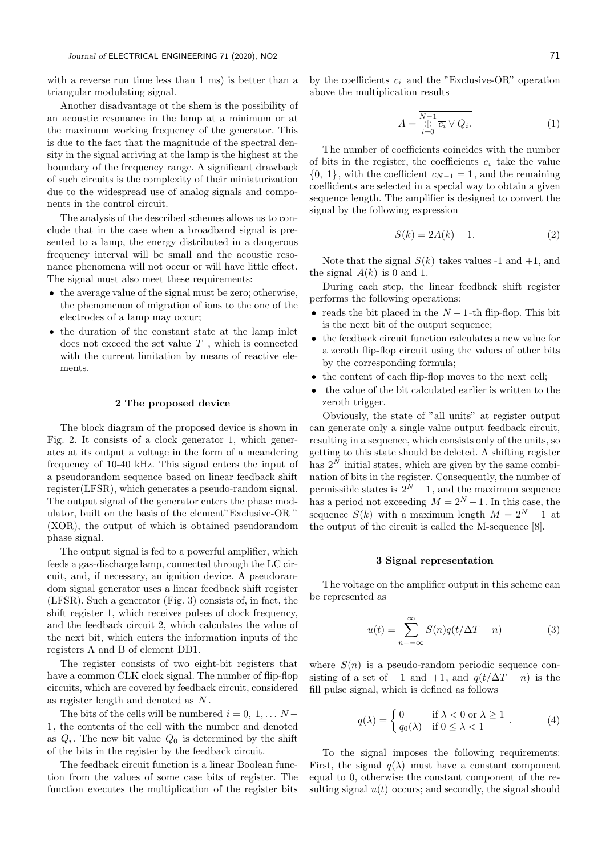with a reverse run time less than 1 ms) is better than a triangular modulating signal.

Another disadvantage ot the shem is the possibility of an acoustic resonance in the lamp at a minimum or at the maximum working frequency of the generator. This is due to the fact that the magnitude of the spectral density in the signal arriving at the lamp is the highest at the boundary of the frequency range. A significant drawback of such circuits is the complexity of their miniaturization due to the widespread use of analog signals and components in the control circuit.

The analysis of the described schemes allows us to conclude that in the case when a broadband signal is presented to a lamp, the energy distributed in a dangerous frequency interval will be small and the acoustic resonance phenomena will not occur or will have little effect. The signal must also meet these requirements:

- the average value of the signal must be zero; otherwise, the phenomenon of migration of ions to the one of the electrodes of a lamp may occur;
- the duration of the constant state at the lamp inlet does not exceed the set value  $T$ , which is connected with the current limitation by means of reactive elements.

#### 2 The proposed device

The block diagram of the proposed device is shown in Fig. 2. It consists of a clock generator 1, which generates at its output a voltage in the form of a meandering frequency of 10-40 kHz. This signal enters the input of a pseudorandom sequence based on linear feedback shift register(LFSR), which generates a pseudo-random signal. The output signal of the generator enters the phase modulator, built on the basis of the element"Exclusive-OR " (XOR), the output of which is obtained pseudorandom phase signal.

The output signal is fed to a powerful amplifier, which feeds a gas-discharge lamp, connected through the LC circuit, and, if necessary, an ignition device. A pseudorandom signal generator uses a linear feedback shift register (LFSR). Such a generator (Fig. 3) consists of, in fact, the shift register 1, which receives pulses of clock frequency, and the feedback circuit 2, which calculates the value of the next bit, which enters the information inputs of the registers A and B of element DD1.

The register consists of two eight-bit registers that have a common CLK clock signal. The number of flip-flop circuits, which are covered by feedback circuit, considered as register length and denoted as N .

The bits of the cells will be numbered  $i = 0, 1, \ldots N -$ 1, the contents of the cell with the number and denoted as  $Q_i$ . The new bit value  $Q_0$  is determined by the shift of the bits in the register by the feedback circuit.

The feedback circuit function is a linear Boolean function from the values of some case bits of register. The function executes the multiplication of the register bits by the coefficients  $c_i$  and the "Exclusive-OR" operation above the multiplication results

$$
A = \frac{\overline{N-1}}{\bigoplus_{i=0}^{N-1} \overline{c_i} \vee Q_i}.
$$
 (1)

The number of coefficients coincides with the number of bits in the register, the coefficients  $c_i$  take the value  $\{0, 1\}$ , with the coefficient  $c_{N-1} = 1$ , and the remaining coefficients are selected in a special way to obtain a given sequence length. The amplifier is designed to convert the signal by the following expression

$$
S(k) = 2A(k) - 1.
$$
 (2)

Note that the signal  $S(k)$  takes values -1 and +1, and the signal  $A(k)$  is 0 and 1.

During each step, the linear feedback shift register performs the following operations:

- reads the bit placed in the  $N-1$ -th flip-flop. This bit is the next bit of the output sequence;
- the feedback circuit function calculates a new value for a zeroth flip-flop circuit using the values of other bits by the corresponding formula;
- the content of each flip-flop moves to the next cell;
- the value of the bit calculated earlier is written to the zeroth trigger.

Obviously, the state of "all units" at register output can generate only a single value output feedback circuit, resulting in a sequence, which consists only of the units, so getting to this state should be deleted. A shifting register has  $2^N$  initial states, which are given by the same combination of bits in the register. Consequently, the number of permissible states is  $2^N - 1$ , and the maximum sequence has a period not exceeding  $M = 2^N - 1$ . In this case, the sequence  $S(k)$  with a maximum length  $M = 2^N - 1$  at the output of the circuit is called the M-sequence [8].

## 3 Signal representation

The voltage on the amplifier output in this scheme can be represented as

$$
u(t) = \sum_{n = -\infty}^{\infty} S(n)q(t/\Delta T - n)
$$
 (3)

where  $S(n)$  is a pseudo-random periodic sequence consisting of a set of  $-1$  and  $+1$ , and  $q(t/\Delta T - n)$  is the fill pulse signal, which is defined as follows

$$
q(\lambda) = \begin{cases} 0 & \text{if } \lambda < 0 \text{ or } \lambda \ge 1 \\ q_0(\lambda) & \text{if } 0 \le \lambda < 1 \end{cases} .
$$
 (4)

To the signal imposes the following requirements: First, the signal  $q(\lambda)$  must have a constant component equal to 0, otherwise the constant component of the resulting signal  $u(t)$  occurs; and secondly, the signal should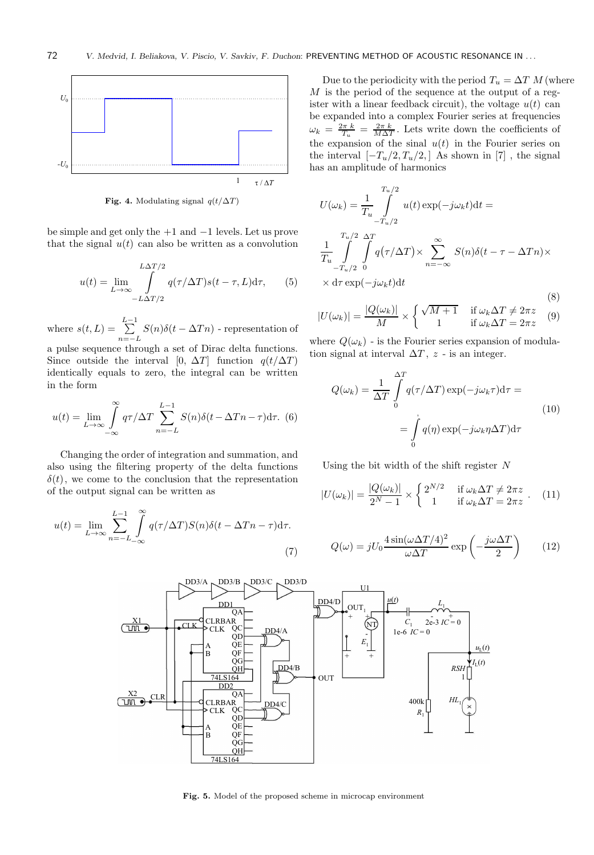

Fig. 4. Modulating signal  $q(t/\Delta T)$ 

be simple and get only the +1 and −1 levels. Let us prove that the signal  $u(t)$  can also be written as a convolution

$$
u(t) = \lim_{L \to \infty} \int_{-L \Delta T/2}^{L \Delta T/2} q(\tau/\Delta T)s(t - \tau, L) d\tau,
$$
 (5)

where  $s(t, L) = \sum_{k=1}^{L-1}$  $\sum_{n=-L} S(n)\delta(t-\Delta T n)$  - representation of

a pulse sequence through a set of Dirac delta functions. Since outside the interval [0,  $\Delta T$ ] function  $q(t/\Delta T)$ identically equals to zero, the integral can be written in the form

$$
u(t) = \lim_{L \to \infty} \int_{-\infty}^{\infty} q\tau / \Delta T \sum_{n=-L}^{L-1} S(n) \delta(t - \Delta T n - \tau) d\tau.
$$
 (6)

Changing the order of integration and summation, and also using the filtering property of the delta functions  $\delta(t)$ , we come to the conclusion that the representation of the output signal can be written as

$$
u(t) = \lim_{L \to \infty} \sum_{n=-L}^{L-1} \int_{-\infty}^{\infty} q(\tau/\Delta T) S(n) \delta(t - \Delta T n - \tau) d\tau.
$$
\n(7)

Due to the periodicity with the period  $T_u = \Delta T M$  (where  $M$  is the period of the sequence at the output of a register with a linear feedback circuit), the voltage  $u(t)$  can be expanded into a complex Fourier series at frequencies  $\omega_k = \frac{2\pi k}{T_u} = \frac{2\pi k}{M\Delta T}$ . Lets write down the coefficients of the expansion of the sinal  $u(t)$  in the Fourier series on the interval  $[-T_u/2, T_u/2]$  As shown in [7], the signal has an amplitude of harmonics

$$
U(\omega_k) = \frac{1}{T_u} \int_{-T_u/2}^{T_u/2} u(t) \exp(-j\omega_k t) dt =
$$
  

$$
\frac{1}{T_u} \int_{-T_u/2}^{T_u/2} \int_{0}^{\Delta T} q(\tau/\Delta T) \times \sum_{n=-\infty}^{\infty} S(n) \delta(t - \tau - \Delta T n) \times
$$
  

$$
\times d\tau \exp(-j\omega_k t) dt
$$
 (8)

$$
|U(\omega_k)| = \frac{|Q(\omega_k)|}{M} \times \begin{cases} \sqrt{M+1} & \text{if } \omega_k \Delta T \neq 2\pi z \\ 1 & \text{if } \omega_k \Delta T = 2\pi z \end{cases} (9)
$$

where  $Q(\omega_k)$  - is the Fourier series expansion of modulation signal at interval  $\Delta T$ , z - is an integer.

$$
Q(\omega_k) = \frac{1}{\Delta T} \int_{0}^{\Delta T} q(\tau/\Delta T) \exp(-j\omega_k \tau) d\tau =
$$
  
= 
$$
\int_{0}^{'} q(\eta) \exp(-j\omega_k \eta \Delta T) d\tau
$$
 (10)

Using the bit width of the shift register  $N$ 

$$
|U(\omega_k)| = \frac{|Q(\omega_k)|}{2^N - 1} \times \begin{cases} 2^{N/2} & \text{if } \omega_k \Delta T \neq 2\pi z \\ 1 & \text{if } \omega_k \Delta T = 2\pi z \end{cases} . \tag{11}
$$

$$
Q(\omega) = jU_0 \frac{4\sin(\omega\Delta T/4)^2}{\omega\Delta T} \exp\left(-\frac{j\omega\Delta T}{2}\right) \qquad (12)
$$



Fig. 5. Model of the proposed scheme in microcap environment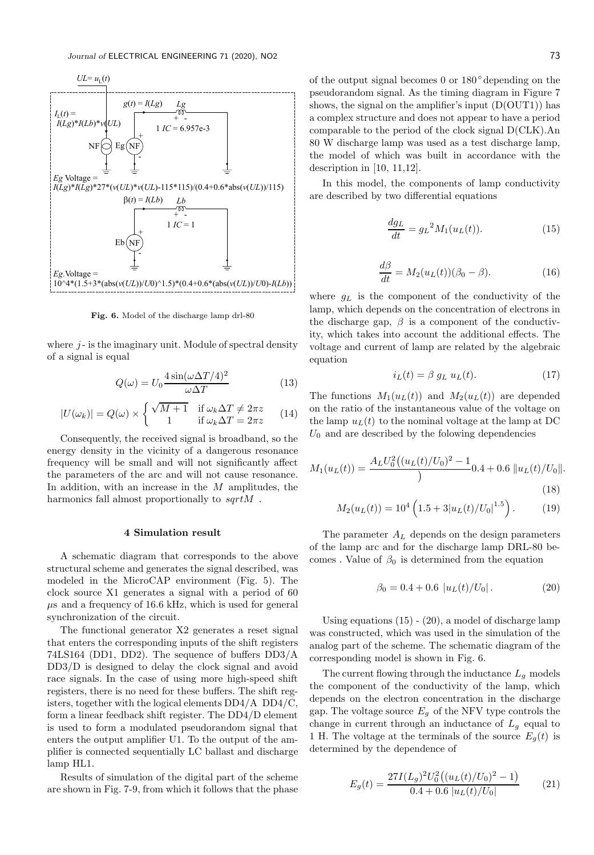

Fig. 6. Model of the discharge lamp drl-80

where  $i$ - is the imaginary unit. Module of spectral density of a signal is equal

$$
Q(\omega) = U_0 \frac{4 \sin(\omega \Delta T/4)^2}{\omega \Delta T} \tag{13}
$$

$$
|U(\omega_k)| = Q(\omega) \times \begin{cases} \sqrt{M+1} & \text{if } \omega_k \Delta T \neq 2\pi z \\ 1 & \text{if } \omega_k \Delta T = 2\pi z \end{cases} (14)
$$

Consequently, the received signal is broadband, so the energy density in the vicinity of a dangerous resonance frequency will be small and will not significantly affect the parameters of the arc and will not cause resonance. In addition, with an increase in the  $M$  amplitudes, the harmonics fall almost proportionally to  $sqrt$ .

## 4 Simulation result

A schematic diagram that corresponds to the above structural scheme and generates the signal described, was modeled in the MicroCAP environment (Fig. 5). The clock source X1 generates a signal with a period of 60  $\mu$ s and a frequency of 16.6 kHz, which is used for general synchronization of the circuit.

The functional generator X2 generates a reset signal that enters the corresponding inputs of the shift registers 74LS164 (DD1, DD2). The sequence of buffers DD3/A DD3/D is designed to delay the clock signal and avoid race signals. In the case of using more high-speed shift registers, there is no need for these buffers. The shift registers, together with the logical elements DD4/A DD4/C, form a linear feedback shift register. The DD4/D element is used to form a modulated pseudorandom signal that enters the output amplifier U1. To the output of the amplifier is connected sequentially LC ballast and discharge lamp HL1.

Results of simulation of the digital part of the scheme are shown in Fig. 7-9, from which it follows that the phase of the output signal becomes 0 or 180◦ depending on the pseudorandom signal. As the timing diagram in Figure 7 shows, the signal on the amplifier's input  $(D(OUT1))$  has a complex structure and does not appear to have a period comparable to the period of the clock signal D(CLK).An 80 W discharge lamp was used as a test discharge lamp, the model of which was built in accordance with the description in [10, 11,12].

In this model, the components of lamp conductivity are described by two differential equations

$$
\frac{dg_L}{dt} = g_L^2 M_1(u_L(t)).\tag{15}
$$

$$
\frac{d\beta}{dt} = M_2(u_L(t))(\beta_0 - \beta). \tag{16}
$$

where  $g_L$  is the component of the conductivity of the lamp, which depends on the concentration of electrons in the discharge gap,  $\beta$  is a component of the conductivity, which takes into account the additional effects. The voltage and current of lamp are related by the algebraic equation

$$
i_L(t) = \beta g_L u_L(t). \tag{17}
$$

The functions  $M_1(u_L(t))$  and  $M_2(u_L(t))$  are depended on the ratio of the instantaneous value of the voltage on the lamp  $u<sub>L</sub>(t)$  to the nominal voltage at the lamp at DC  $U_0$  and are described by the folowing dependencies

$$
M_1(u_L(t)) = \frac{A_L U_0^2 ((u_L(t)/U_0)^2 - 1)}{2} 0.4 + 0.6 \, \|u_L(t)/U_0\|.
$$
\n(18)

$$
M_2(u_L(t)) = 10^4 \left( 1.5 + 3|u_L(t)/U_0|^{1.5} \right). \tag{19}
$$

The parameter  $A_L$  depends on the design parameters of the lamp arc and for the discharge lamp DRL-80 becomes . Value of  $\beta_0$  is determined from the equation

$$
\beta_0 = 0.4 + 0.6 \, |u_L(t)/U_0| \,. \tag{20}
$$

Using equations  $(15) - (20)$ , a model of discharge lamp was constructed, which was used in the simulation of the analog part of the scheme. The schematic diagram of the corresponding model is shown in Fig. 6.

The current flowing through the inductance  $L_q$  models the component of the conductivity of the lamp, which depends on the electron concentration in the discharge gap. The voltage source  $E<sub>q</sub>$  of the NFV type controls the change in current through an inductance of  $L_q$  equal to 1 H. The voltage at the terminals of the source  $E_q(t)$  is determined by the dependence of

$$
E_g(t) = \frac{27I(L_g)^2U_0^2((u_L(t)/U_0)^2 - 1)}{0.4 + 0.6|u_L(t)/U_0|}
$$
(21)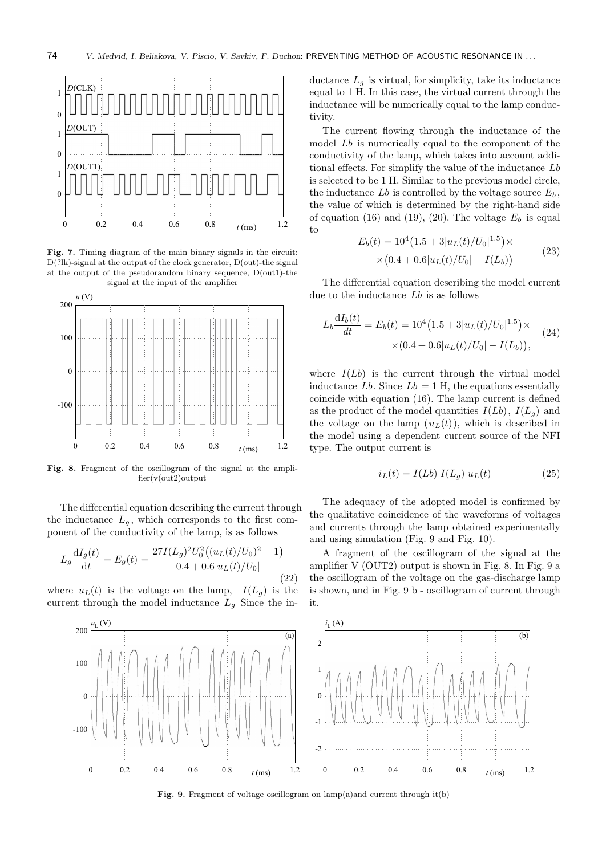

Fig. 7. Timing diagram of the main binary signals in the circuit:  $D(?lk)$ -signal at the output of the clock generator,  $D($ out)-the signal at the output of the pseudorandom binary sequence, D(out1)-the signal at the input of the amplifier



Fig. 8. Fragment of the oscillogram of the signal at the amplifier(v(out2)output

The differential equation describing the current through the inductance  $L_q$ , which corresponds to the first component of the conductivity of the lamp, is as follows

$$
L_g \frac{\mathrm{d}I_g(t)}{\mathrm{d}t} = E_g(t) = \frac{27I(L_g)^2 U_0^2((u_L(t)/U_0)^2 - 1)}{0.4 + 0.6|u_L(t)/U_0|}
$$
(22)

where  $u_L(t)$  is the voltage on the lamp,  $I(L_q)$  is the current through the model inductance  $L_q$  Since the inductance  $L_g$  is virtual, for simplicity, take its inductance equal to 1 H. In this case, the virtual current through the inductance will be numerically equal to the lamp conductivity.

The current flowing through the inductance of the model Lb is numerically equal to the component of the conductivity of the lamp, which takes into account additional effects. For simplify the value of the inductance Lb is selected to be 1 H. Similar to the previous model circle, the inductance  $Lb$  is controlled by the voltage source  $E_b$ , the value of which is determined by the right-hand side of equation (16) and (19), (20). The voltage  $E_b$  is equal to

$$
E_b(t) = 10^4 (1.5 + 3|u_L(t)/U_0|^{1.5}) \times
$$
  
×(0.4 + 0.6|u\_L(t)/U\_0| – I(L<sub>b</sub>)) (23)

The differential equation describing the model current due to the inductance Lb is as follows

$$
L_b \frac{dI_b(t)}{dt} = E_b(t) = 10^4 (1.5 + 3|u_L(t)/U_0|^{1.5}) \times \times (0.4 + 0.6|u_L(t)/U_0| - I(L_b)), \tag{24}
$$

where  $I(Lb)$  is the current through the virtual model inductance  $Lb$ . Since  $Lb = 1$  H, the equations essentially coincide with equation (16). The lamp current is defined as the product of the model quantities  $I(Lb)$ ,  $I(L_q)$  and the voltage on the lamp  $(u<sub>L</sub>(t))$ , which is described in the model using a dependent current source of the NFI type. The output current is

$$
i_L(t) = I(Lb) I(L_g) u_L(t)
$$
\n(25)

The adequacy of the adopted model is confirmed by the qualitative coincidence of the waveforms of voltages and currents through the lamp obtained experimentally and using simulation (Fig. 9 and Fig. 10).

A fragment of the oscillogram of the signal at the amplifier V (OUT2) output is shown in Fig. 8. In Fig. 9 a the oscillogram of the voltage on the gas-discharge lamp is shown, and in Fig. 9 b - oscillogram of current through it.



Fig. 9. Fragment of voltage oscillogram on lamp(a)and current through it(b)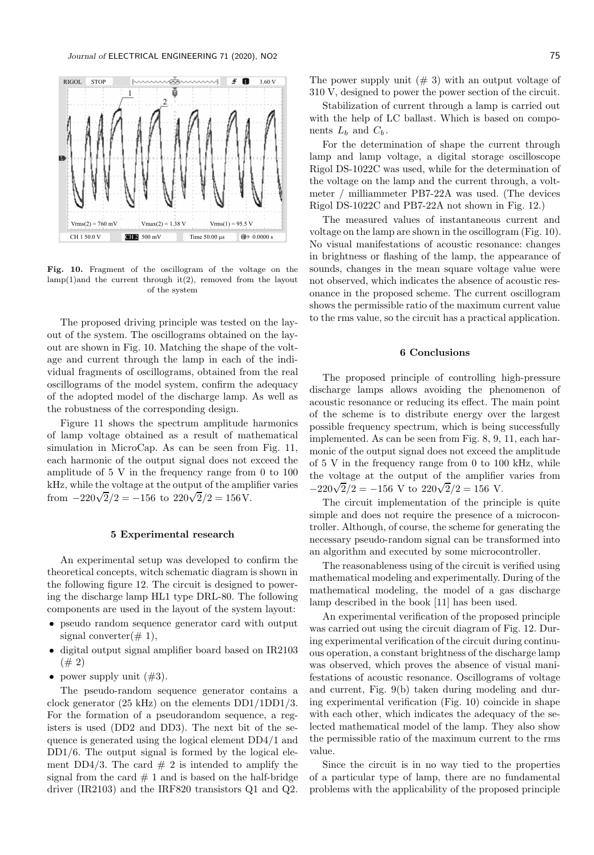

Fig. 10. Fragment of the oscillogram of the voltage on the  $\text{lamp}(1)$  and the current through it(2), removed from the layout of the system

The proposed driving principle was tested on the layout of the system. The oscillograms obtained on the layout are shown in Fig. 10. Matching the shape of the voltage and current through the lamp in each of the individual fragments of oscillograms, obtained from the real oscillograms of the model system, confirm the adequacy of the adopted model of the discharge lamp. As well as the robustness of the corresponding design.

Figure 11 shows the spectrum amplitude harmonics of lamp voltage obtained as a result of mathematical simulation in MicroCap. As can be seen from Fig. 11, each harmonic of the output signal does not exceed the amplitude of 5 V in the frequency range from 0 to 100 kHz, while the voltage at the output of the amplifier varies from  $-220\sqrt{2}/2 = -156$  to  $220\sqrt{2}/2 = 156$  V.

## 5 Experimental research

An experimental setup was developed to confirm the theoretical concepts, witch schematic diagram is shown in the following figure 12. The circuit is designed to powering the discharge lamp HL1 type DRL-80. The following components are used in the layout of the system layout:

- pseudo random sequence generator card with output signal converter $(\# 1)$ ,
- digital output signal amplifier board based on IR2103  $(# 2)$
- power supply unit  $(\#3)$ .

The pseudo-random sequence generator contains a clock generator (25 kHz) on the elements DD1/1DD1/3. For the formation of a pseudorandom sequence, a registers is used (DD2 and DD3). The next bit of the sequence is generated using the logical element DD4/1 and DD1/6. The output signal is formed by the logical element DD4/3. The card  $# 2$  is intended to amplify the signal from the card  $# 1$  and is based on the half-bridge driver (IR2103) and the IRF820 transistors Q1 and Q2. The power supply unit  $(\# 3)$  with an output voltage of 310 V, designed to power the power section of the circuit.

Stabilization of current through a lamp is carried out with the help of LC ballast. Which is based on components  $L_b$  and  $C_b$ .

For the determination of shape the current through lamp and lamp voltage, a digital storage oscilloscope Rigol DS-1022C was used, while for the determination of the voltage on the lamp and the current through, a voltmeter / milliammeter PB7-22A was used. (The devices Rigol DS-1022C and PB7-22A not shown in Fig. 12.)

The measured values of instantaneous current and voltage on the lamp are shown in the oscillogram (Fig. 10). No visual manifestations of acoustic resonance: changes in brightness or flashing of the lamp, the appearance of sounds, changes in the mean square voltage value were not observed, which indicates the absence of acoustic resonance in the proposed scheme. The current oscillogram shows the permissible ratio of the maximum current value to the rms value, so the circuit has a practical application.

## 6 Conclusions

The proposed principle of controlling high-pressure discharge lamps allows avoiding the phenomenon of acoustic resonance or reducing its effect. The main point of the scheme is to distribute energy over the largest possible frequency spectrum, which is being successfully implemented. As can be seen from Fig. 8, 9, 11, each harmonic of the output signal does not exceed the amplitude of 5 V in the frequency range from 0 to 100 kHz, while the voltage at the output of the amplifier varies from  $-220\sqrt{2}/2 = -156$  V to  $220\sqrt{2}/2 = 156$  V.

The circuit implementation of the principle is quite simple and does not require the presence of a microcontroller. Although, of course, the scheme for generating the necessary pseudo-random signal can be transformed into an algorithm and executed by some microcontroller.

The reasonableness using of the circuit is verified using mathematical modeling and experimentally. During of the mathematical modeling, the model of a gas discharge lamp described in the book [11] has been used.

An experimental verification of the proposed principle was carried out using the circuit diagram of Fig. 12. During experimental verification of the circuit during continuous operation, a constant brightness of the discharge lamp was observed, which proves the absence of visual manifestations of acoustic resonance. Oscillograms of voltage and current, Fig. 9(b) taken during modeling and during experimental verification (Fig. 10) coincide in shape with each other, which indicates the adequacy of the selected mathematical model of the lamp. They also show the permissible ratio of the maximum current to the rms value.

Since the circuit is in no way tied to the properties of a particular type of lamp, there are no fundamental problems with the applicability of the proposed principle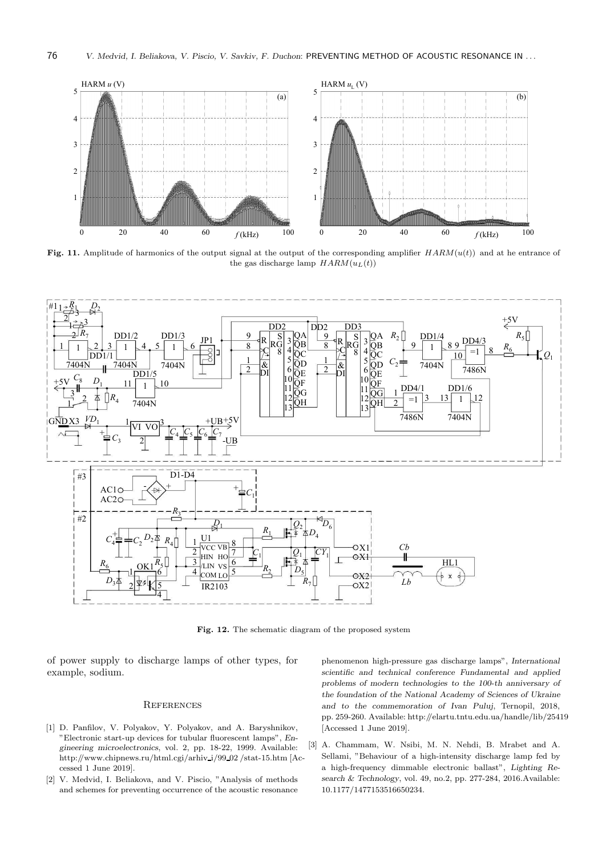

Fig. 11. Amplitude of harmonics of the output signal at the output of the corresponding amplifier  $HARM(u(t))$  and at he entrance of the gas discharge lamp  $HARM(u<sub>L</sub>(t))$ 



Fig. 12. The schematic diagram of the proposed system

of power supply to discharge lamps of other types, for example, sodium.

#### **REFERENCES**

- [1] D. Panfilov, V. Polyakov, Y. Polyakov, and A. Baryshnikov, "Electronic start-up devices for tubular fluorescent lamps", Engineering microelectronics, vol. 2, pp. 18-22, 1999. Available: http://www.chipnews.ru/html.cgi/arhiv i/99 02 /stat-15.htm [Accessed 1 June 2019].
- [2] V. Medvid, I. Beliakova, and V. Piscio, "Analysis of methods and schemes for preventing occurrence of the acoustic resonance

phenomenon high-pressure gas discharge lamps", International scientific and technical conference Fundamental and applied problems of modern technologies to the 100-th anniversary of the foundation of the National Academy of Sciences of Ukraine and to the commemoration of Ivan Puluj, Ternopil, 2018, pp. 259-260. Available: http://elartu.tntu.edu.ua/handle/lib/25419 [Accessed 1 June 2019].

[3] A. Chammam, W. Nsibi, M. N. Nehdi, B. Mrabet and A. Sellami, "Behaviour of a high-intensity discharge lamp fed by a high-frequency dimmable electronic ballast", Lighting Research  $&$  Technology, vol. 49, no.2, pp. 277-284, 2016.Available: 10.1177/1477153516650234.